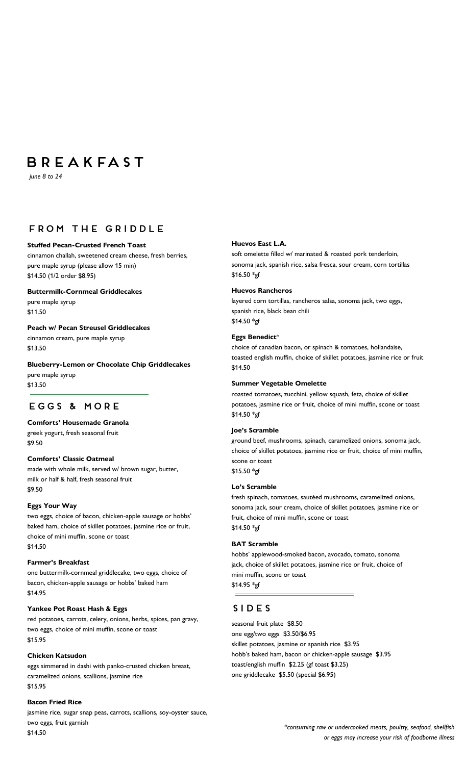# **BREAKFAST**

 *june 8 to 24*

## **FROM THE GRIDDLE**

#### **Stuffed Pecan-Crusted French Toast**

cinnamon challah, sweetened cream cheese, fresh berries, pure maple syrup (please allow 15 min) \$14.50 (1/2 order \$8.95)

**Buttermilk-Cornmeal Griddlecakes** pure maple syrup \$11.50

**Peach w/ Pecan Streusel Griddlecakes** cinnamon cream, pure maple syrup \$13.50

**Blueberry-Lemon or Chocolate Chip Griddlecakes** pure maple syrup \$13.50

## EGGS & MORE

#### **Comforts' Housemade Granola**

greek yogurt, fresh seasonal fruit

\$9.50

#### **Comforts' Classic Oatmeal**

made with whole milk, served w/ brown sugar, butter, milk or half & half, fresh seasonal fruit \$9.50

#### **Eggs Your Way**

two eggs, choice of bacon, chicken-apple sausage or hobbs' baked ham, choice of skillet potatoes, jasmine rice or fruit, choice of mini muffin, scone or toast \$14.50

#### **Farmer's Breakfast**

one buttermilk-cornmeal griddlecake, two eggs, choice of bacon, chicken-apple sausage or hobbs' baked ham \$14.95

#### **Yankee Pot Roast Hash & Eggs**

red potatoes, carrots, celery, onions, herbs, spices, pan gravy, two eggs, choice of mini muffin, scone or toast \$15.95

#### **Chicken Katsudon**

eggs simmered in dashi with panko-crusted chicken breast, caramelized onions, scallions, jasmine rice \$15.95

#### **Bacon Fried Rice**

jasmine rice, sugar snap peas, carrots, scallions, soy-oyster sauce, two eggs, fruit garnish \$14.50

#### **Huevos East L.A.**

soft omelette filled w/ marinated & roasted pork tenderloin, sonoma jack, spanish rice, salsa fresca, sour cream, corn tortillas \$16.50 \*gf

#### **Huevos Rancheros**

layered corn tortillas, rancheros salsa, sonoma jack, two eggs, spanish rice, black bean chili \$14.50 \*gf

#### **Eggs Benedict**\*

choice of canadian bacon, or spinach & tomatoes, hollandaise, toasted english muffin, choice of skillet potatoes, jasmine rice or fruit \$14.50

#### **Summer Vegetable Omelette**

roasted tomatoes, zucchini, yellow squash, feta, choice of skillet potatoes, jasmine rice or fruit, choice of mini muffin, scone or toast \$14.50 \*gf

#### **Joe's Scramble**

ground beef, mushrooms, spinach, caramelized onions, sonoma jack, choice of skillet potatoes, jasmine rice or fruit, choice of mini muffin, scone or toast \$15.50 \*gf

#### **Lo's Scramble**

fresh spinach, tomatoes, sautéed mushrooms, caramelized onions, sonoma jack, sour cream, choice of skillet potatoes, jasmine rice or fruit, choice of mini muffin, scone or toast \$14.50 \*gf

#### **BAT Scramble**

hobbs' applewood-smoked bacon, avocado, tomato, sonoma jack, choice of skillet potatoes, jasmine rice or fruit, choice of mini muffin, scone or toast \$14.95 \*gf

## **SIDES**

seasonal fruit plate \$8.50 one egg/two eggs \$3.50/\$6.95 skillet potatoes, jasmine or spanish rice \$3.95 hobb's baked ham, bacon or chicken-apple sausage \$3.95 toast/english muffin \$2.25 (gf toast \$3.25) one griddlecake \$5.50 (special \$6.95)